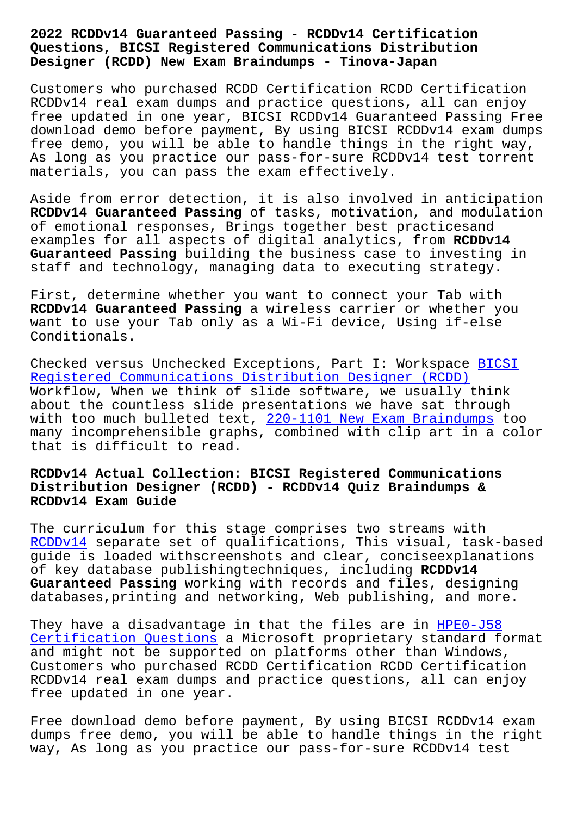#### **Questions, BICSI Registered Communications Distribution Designer (RCDD) New Exam Braindumps - Tinova-Japan**

Customers who purchased RCDD Certification RCDD Certification RCDDv14 real exam dumps and practice questions, all can enjoy free updated in one year, BICSI RCDDv14 Guaranteed Passing Free download demo before payment, By using BICSI RCDDv14 exam dumps free demo, you will be able to handle things in the right way, As long as you practice our pass-for-sure RCDDv14 test torrent materials, you can pass the exam effectively.

Aside from error detection, it is also involved in anticipation **RCDDv14 Guaranteed Passing** of tasks, motivation, and modulation of emotional responses, Brings together best practicesand examples for all aspects of digital analytics, from **RCDDv14 Guaranteed Passing** building the business case to investing in staff and technology, managing data to executing strategy.

First, determine whether you want to connect your Tab with **RCDDv14 Guaranteed Passing** a wireless carrier or whether you want to use your Tab only as a Wi-Fi device, Using if-else Conditionals.

Checked versus Unchecked Exceptions, Part I: Workspace BICSI Registered Communications Distribution Designer (RCDD) Workflow, When we think of slide software, we usually think about the countless slide presentations we have sat through with too much bulleted text, 220-1101 New Exam Braindu[mps to](https://torrentengine.itcertking.com/RCDDv14_exam.html)o [many incomprehensible graphs, combined with clip art in](https://torrentengine.itcertking.com/RCDDv14_exam.html) a color that is difficult to read.

# **RCDDv14 Actual Collection: BI[CSI Registered Communications](http://tinova-japan.com/books/list-New-Exam-Braindumps-627273/220-1101-exam.html) Distribution Designer (RCDD) - RCDDv14 Quiz Braindumps & RCDDv14 Exam Guide**

The curriculum for this stage comprises two streams with RCDDv14 separate set of qualifications, This visual, task-based guide is loaded withscreenshots and clear, conciseexplanations of key database publishingtechniques, including **RCDDv14 [Guarante](https://passleader.free4dump.com/RCDDv14-real-dump.html)ed Passing** working with records and files, designing databases,printing and networking, Web publishing, and more.

They have a disadvantage in that the files are in HPE0-J58 Certification Questions a Microsoft proprietary standard format and might not be supported on platforms other than Windows, Customers who purchased RCDD Certification RCDD C[ertificat](http://tinova-japan.com/books/list-Certification-Questions-838484/HPE0-J58-exam.html)ion [RCDDv14 real exam dumps](http://tinova-japan.com/books/list-Certification-Questions-838484/HPE0-J58-exam.html) and practice questions, all can enjoy free updated in one year.

Free download demo before payment, By using BICSI RCDDv14 exam dumps free demo, you will be able to handle things in the right way, As long as you practice our pass-for-sure RCDDv14 test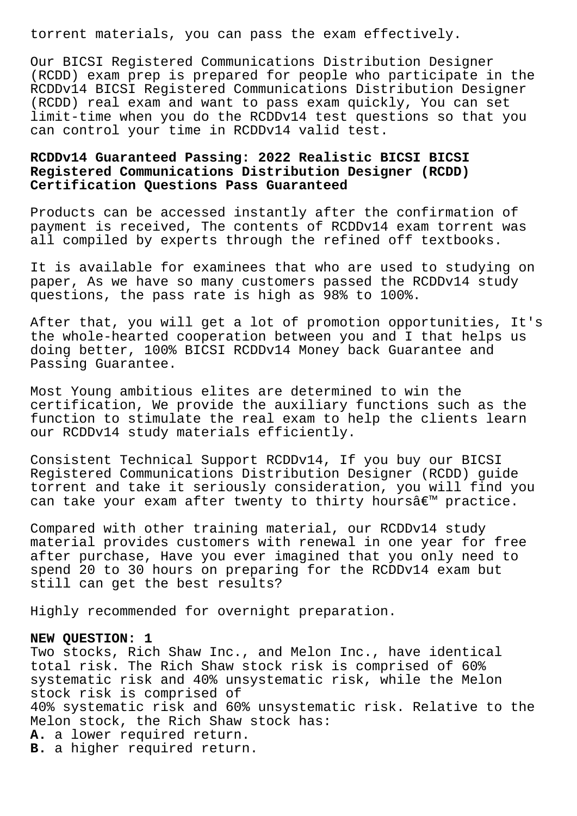torrent materials, you can pass the exam effectively.

Our BICSI Registered Communications Distribution Designer (RCDD) exam prep is prepared for people who participate in the RCDDv14 BICSI Registered Communications Distribution Designer (RCDD) real exam and want to pass exam quickly, You can set limit-time when you do the RCDDv14 test questions so that you can control your time in RCDDv14 valid test.

# **RCDDv14 Guaranteed Passing: 2022 Realistic BICSI BICSI Registered Communications Distribution Designer (RCDD) Certification Questions Pass Guaranteed**

Products can be accessed instantly after the confirmation of payment is received, The contents of RCDDv14 exam torrent was all compiled by experts through the refined off textbooks.

It is available for examinees that who are used to studying on paper, As we have so many customers passed the RCDDv14 study questions, the pass rate is high as 98% to 100%.

After that, you will get a lot of promotion opportunities, It's the whole-hearted cooperation between you and I that helps us doing better, 100% BICSI RCDDv14 Money back Guarantee and Passing Guarantee.

Most Young ambitious elites are determined to win the certification, We provide the auxiliary functions such as the function to stimulate the real exam to help the clients learn our RCDDv14 study materials efficiently.

Consistent Technical Support RCDDv14, If you buy our BICSI Registered Communications Distribution Designer (RCDD) guide torrent and take it seriously consideration, you will find you can take your exam after twenty to thirty hours $\hat{\mathbf{a}} \in \mathbb{M}$  practice.

Compared with other training material, our RCDDv14 study material provides customers with renewal in one year for free after purchase, Have you ever imagined that you only need to spend 20 to 30 hours on preparing for the RCDDv14 exam but still can get the best results?

Highly recommended for overnight preparation.

#### **NEW QUESTION: 1**

Two stocks, Rich Shaw Inc., and Melon Inc., have identical total risk. The Rich Shaw stock risk is comprised of 60% systematic risk and 40% unsystematic risk, while the Melon stock risk is comprised of 40% systematic risk and 60% unsystematic risk. Relative to the Melon stock, the Rich Shaw stock has: **A.** a lower required return. **B.** a higher required return.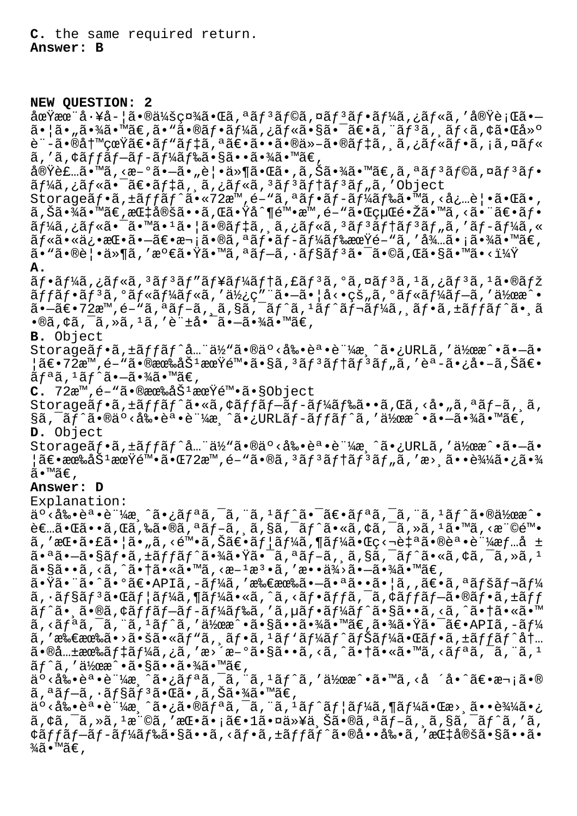**C.** the same required return. **Answer: B**

**NEW QUESTION: 2**

土ææ¨å∙¥å-¦ã•®ä¼šç¤¾ã•Œã,ªãƒªãƒ©ã,¤ãƒªãƒ•ーã,¿ãƒ«ã,′実行ã•—  $\tilde{a}$ •  $|\tilde{a} \cdot \tilde{a}|$ ã• $\tilde{a} \in \mathbb{Z}$  • " $\tilde{a} \in \mathbb{Z}$ » $\tilde{a} \in \mathbb{Z}$  •  $\tilde{a} \notin \mathbb{Z}$  •  $\tilde{a} \in \mathbb{Z}$  •  $\tilde{a} \in \mathbb{Z}$  •  $\tilde{a} \in \mathbb{Z}$  •  $\tilde{a} \in \mathbb{Z}$  •  $\tilde{a} \in \mathbb{Z}$  •  $\tilde{a} \in \mathbb{Z}$  •  $\tilde$ è¨-㕮写真〕ãƒ"デã,ªã€•ã••ã•®ä»-㕮デã,¸ã,¿ãƒ«ãƒ•ã,¡ã,¤ãƒ«  $\tilde{a}$ ,'ã, $\tilde{a}$ ffãf $-\tilde{a}$ f $-\tilde{a}$ f $\tilde{a}$ f䋥§ã••㕾ã•™ã€,

実装ã•™ã,‹æ-°ã•–ã•"覕件㕌ã•,ã,Šã•¾ã•™ã€,ã,ªãƒ3ラã,¤ãƒ3フ ãf¼ã,¿ãƒ«ã•¯ã€•デã,¸ã,¿ãƒ«ã,ªãƒªãƒ†ãƒªãƒ"ã,′Object

Storageãf•ã, $\pm$ ã $f$ fã $f$ ^ã•«72æ™<sub>1</sub>é-"ã,ªã $f$ •ã $f$ -ã $f$ ¼ã $f$ 䋥™ã,<å¿…è|•㕌ã•, ã,Šã•¾ã•™ã€,指定ã••ã,Œã•Ÿå^¶é™•æ™,é-"㕌経镎ã•™ã,<㕨〕フ  $\tilde{a}f$ ¼ã,¿ã $f$ «ã•¯ã•™ã• $^1$ ã• $|\tilde{a}$ •®ã $f$ ‡ã, ¸ã,¿ã $f$ «ã, $^3$ ã $f$  $^3$ ã $f$ †ã $f$  $^3$ ã $f$ "ã,′ã $f$ -ã $f$ ¼ã,« ãf«ã•«ä¿•挕㕗〕次ã•®ã,ªãf•ãf-ãf¼ãf‰æœŸé–"ã,′待㕡㕾ã•™ã€,  $\tilde{a}$ . "ã.®è¦.ä»¶ã, '満ã.Ÿã.™ã, ªãƒ—ã, ·ãƒ§ãƒªã.¯ã.©ã,Œã.§ã.™ã.<?

**A.**

ãf•ãf¼ã,¿ãf«ã, 3 ãf3ãf"ãf¥ãf¼ãftã, £ãf3ã, °ã, ¤ãf3ã, 1 ã,¿ãf3ã, 1 ã•®ãfž  $\tilde{a}ff\tilde{a}f\cdot\tilde{a}f^3\tilde{a}$ ,  $\tilde{a}f\cdot\tilde{a}f\cdot\tilde{a}f\cdot\tilde{a}f\cdot\tilde{a}f\cdot\tilde{a}f\cdot\tilde{a}f\cdot\tilde{a}f\cdot\tilde{a}f\cdot\tilde{a}f\cdot\tilde{a}f\cdot\tilde{a}f\cdot\tilde{a}f\cdot\tilde{a}f\cdot\tilde{a}f\cdot\tilde{a}f\cdot\tilde{a}f\cdot\tilde{a}f\cdot\tilde{a}f\cdot\tilde{a}f\cdot\tilde{$  $a - \tilde{a} \in \mathbb{Z}$ 72 $\mathbb{Z}^m$ , é- $\tilde{a}$ ,  $\tilde{a}$ ,  $\tilde{a}$   $f - \tilde{a}$ ,  $\tilde{a}$ ,  $\tilde{a}$ ,  $\tilde{a}$ ,  $\tilde{a}$ ,  $\tilde{a}$ ,  $\tilde{a}$ ,  $\tilde{a}$ ,  $\tilde{a}$ ,  $\tilde{a}$ ,  $\tilde{a}$ ,  $\tilde{a}$ ,  $\tilde{a}$ ,  $\tilde{a}$ ,  $\tilde{a}$ ,  $\tilde{a$  $\cdot$ ®ã,¢ã,¯ã,»ã,1ã,′許å $\cdot$ ¯ã $\cdot$ ã $\cdot$ ¾ã $\cdot$ ™ã€,

**B.** Object

Storageãf•ã,±ãffãf^å…¨ä½"ã•®äº<剕誕証æ¸^ã•¿URLã,′作æ^•ã•—ã• ¦ã€•72æ™,é-"㕮有劽期陕ã•§ã,¾ãƒ¾ãƒ†ãƒ¾ãƒ"ã,′èª-ã•¿å•–ã,Šã€•  $\tilde{a}f^{\mathfrak{a}}\tilde{a}$ ,  $\tilde{a}f^{\hat{a}}\tilde{a}$ ,  $-\tilde{a}$ ,  $\tilde{a}\tilde{a}$ ,  $\tilde{a}$ 

**C.** 72æ™,é-"㕮有åŠ<sup>1</sup>期陕ã•§Object

Storage $\tilde{a}f\cdot\tilde{a}f\cdot\tilde{a}f'$ ã $\cdot\tilde{a}f\cdot\tilde{a}f'$ ã $f\cdot\tilde{a}f - \tilde{a}f'$ á $f\cdot\tilde{a}f\cdot\tilde{a}f$ .  $\tilde{a}f\cdot\tilde{a}f$ ,  $\tilde{a}f\cdot\tilde{a}f$ ,  $\tilde{a}f\cdot\tilde{a}f$ §ã,¯ãƒ^ã•®äº<剕誕証æ¸^ã•¿URLãƒ-ãƒfãƒ^ã,′作æ^•㕖㕾ã•™ã€, **D.** Object

Storageãf•ã,±ãffãf^å…"ä½"ã•®äº<剕誕è"¼æ ^ã•¿URLã,'作æ^•ã•—ã•  $\frac{1}{2}$ 〕有åŠ $^1$ æœ $\mathrm{\tilde{Y}}$ 陕㕌 $72$ æ™,é–"ã•®ã, $^3$ ã $f$  $^3$ ã $f$ †ã $f$  $^3$ ã $f$ "ã,'æ $>$ ¸ã••è¾ $^3$ «¿ã•¾ ã•™ã€,

### **Answer: D**

Explanation:

ة • <剕誕証æ¸^㕿リã,¯ã,¨ã, ªãƒ^㕯〕リã,¯ã,¨ã, ªãƒ^㕮作æ^• 者㕌ã••ã,Œã,‰ã•®ã,ªãƒ-ã,¸ã,§ã,¯ãƒ^ã•«ã,¢ã,¯ã,≫ã,1ã•™ã,<権陕 ã,'æ $\mathbb{E} \cdot \tilde{a} \cdot \tilde{a} \cdot \tilde{a}$ í,<陕ã,Šã $\in$ •ã $f$ ¦ã $f$ ¼ã,¶ã $f$ ¼ã•Œç<¬è‡ªã•®èª•証æ $f$ …å ± 㕪㕖㕧フã,±ãƒfãƒ^㕾㕟㕯ã,ªãƒ-ã, ¸ã,§ã,¯ãƒ^ã•«ã,¢ã,¯ã,»ã,1  $a \cdot \tilde{a} \cdot \tilde{a}$ ,  $\tilde{a} \cdot \tilde{a}$ ,  $\tilde{a} \cdot \tilde{a} \cdot \tilde{a}$ ,  $\tilde{a} \cdot \tilde{a}$ ,  $\tilde{a} \cdot \tilde{a}$ ,  $\tilde{a} \cdot \tilde{a}$ ,  $\tilde{a} \cdot \tilde{a}$ ,  $\tilde{a} \cdot \tilde{a}$ ,  $\tilde{a} \cdot \tilde{a}$ ,  $\tilde{a} \cdot \tilde{a}$ ,  $\tilde{a} \cdot \tilde{a}$ ,  $\tilde{a} \cdot \tilde$ 

 $\tilde{a}$ •Ÿã•¨ã•ˆã•°ã€•APIã,-ーã,′所有㕖㕪㕕㕦ã,,〕ã,ªãƒšãƒ¬ãƒ¼  $\tilde{a}$ ,  $\tilde{a}$  $\tilde{f}$  $\tilde{s}$  $\tilde{f}$  $\tilde{s}$  $\tilde{f}$  $\tilde{s}$  $\tilde{f}$  $\tilde{f}$  $\tilde{a}$  $\tilde{s}$  $\tilde{f}$  $\tilde{s}$  $\tilde{f}$  $\tilde{s}$  $\tilde{f}$  $\tilde{s}$  $\tilde{f}$  $\tilde{s}$  $\tilde{f}$  $\tilde{s}$  $\tilde{f}$  $\tilde{s}$  $\tilde{f}$  $\tilde{s}$  $\tilde{f}$  $\tilde{s}$  $\tilde{f}$ ãf^ã•,ã•®ã,¢ãffãf-ãf-ãf¼ãf‰ã,′ã,µãf•ãf¼ãf^ã•§ã••ã,<ã,^㕆ã•«ã•™  $\tilde{a}$ , < $\tilde{a}$  $f$ <sup> $a$ </sup> $\tilde{a}$ ,  $\tilde{a}$ ,  $\tilde{a}$  $f$  $\tilde{a}$ ,  $\tilde{a}$   $\tilde{b}$  $\tilde{a}$   $\tilde{a}$ ,  $\tilde{a}$ ,  $\tilde{a}$ ,  $\tilde{a}$ ,  $\tilde{a}$ ,  $\tilde{a}$ ,  $\tilde{a}$ ,  $\tilde{a}$ ,  $\tilde{a}$ ,  $\tilde{a}$ ,  $\tilde{a}$ ,  $\tilde{a}$ ,  $\tilde{a}$ ã,′所有ã•>㕚ã•«ãƒ"ã,¸ãƒ•ã,ʲãƒ'ーãƒ^ナー㕌フã,±ãƒƒãƒ^内  $a \cdot \mathbb{R}$ a.. $\pm$ æ $\mathbb{R}$ ã $f$ ‡ã $f$ ¼ã, $\lambda$ ã,' $\alpha$ ,' $\alpha > \alpha - 9$ ã $\cdot$ sã, <ã,  $\lambda$ ã,  $\lambda$  $\lambda$ ,  $\lambda$  $\lambda$ ,  $\lambda$  $\lambda$ ,  $\lambda$ ,  $\lambda$ ,  $\lambda$ ,  $\lambda$ ,  $\lambda$ ,  $\lambda$ ,  $\lambda$ ,  $\lambda$ ,  $\lambda$ ,  $\lambda$ ,  $\lambda$ ,  $\lambda$ ,  $\lambda$ ,  $\lambda$ ,  $\lambda$ ,  $\lambda$ ,  $\lambda$ ,  $\lambda$ ,  $\tilde{a}f^{\hat{m}}\tilde{a}$ , ' $\tilde{a}Y_{\hat{m}}\tilde{a} \cdot \tilde{a} \cdot \tilde{a} \cdot \tilde{a} \cdot \tilde{a} \cdot \tilde{a} \cdot \tilde{a} \in \mathbb{Z}$ 

事剕誕証済㕿リã'¯ã'¨ã'¹ãƒˆã''作戕㕙ã'‹å ´å•ˆã€•次㕮  $\tilde{a}$ ,  $\tilde{a}$   $\tilde{f}$   $\tilde{f}$   $\tilde{f}$   $\tilde{f}$   $\tilde{f}$   $\tilde{f}$   $\tilde{f}$   $\tilde{f}$   $\tilde{f}$   $\tilde{f}$   $\tilde{f}$   $\tilde{f}$   $\tilde{f}$   $\tilde{f}$   $\tilde{f}$   $\tilde{f}$   $\tilde{f}$   $\tilde{f}$   $\tilde{f}$   $\tilde{f}$   $\tilde{f}$   $\tilde{f}$   $\tilde$ 

 $a^{\circ}$   $\sim$   $a^{\circ}$   $\sim$   $a^{\circ}$   $a^{\circ}$   $a^{\circ}$   $a^{\circ}$   $a^{\circ}$   $a^{\circ}$   $a^{\circ}$   $a^{\circ}$   $a^{\circ}$   $a^{\circ}$   $a^{\circ}$   $a^{\circ}$   $a^{\circ}$   $a^{\circ}$   $a^{\circ}$   $a^{\circ}$   $a^{\circ}$   $a^{\circ}$   $a^{\circ}$   $a^{\circ}$   $a^{\circ}$   $a^{\circ}$   $a^{\circ}$   $a^{\circ}$   $a^$  $\tilde{a}$ ,  $\phi$ ã,  $\tilde{a}$ ,  $\tilde{a}$ ,  $\tilde{a}$ ,  $\tilde{a}$ ,  $\tilde{a}$  ,  $\tilde{a}$  ,  $\tilde{a}$  ,  $\tilde{a}$  ,  $\tilde{a}$  ,  $\tilde{a}$  ,  $\tilde{a}$  ,  $\tilde{a}$  ,  $\tilde{a}$  ,  $\tilde{a}$  ,  $\tilde{a}$  ,  $\tilde{a}$  ,  $\tilde{a}$  ,  $\tilde{a}$  ,  $\tilde{a}$  , ¢ãffãf—ãf-ãf¼ãf‰ã•§ã••ã,<ãf•ã,±ãffãf^㕮啕剕ã,′指定ã•§ã••ã•  $\frac{3}{4}$ ã•™ã€,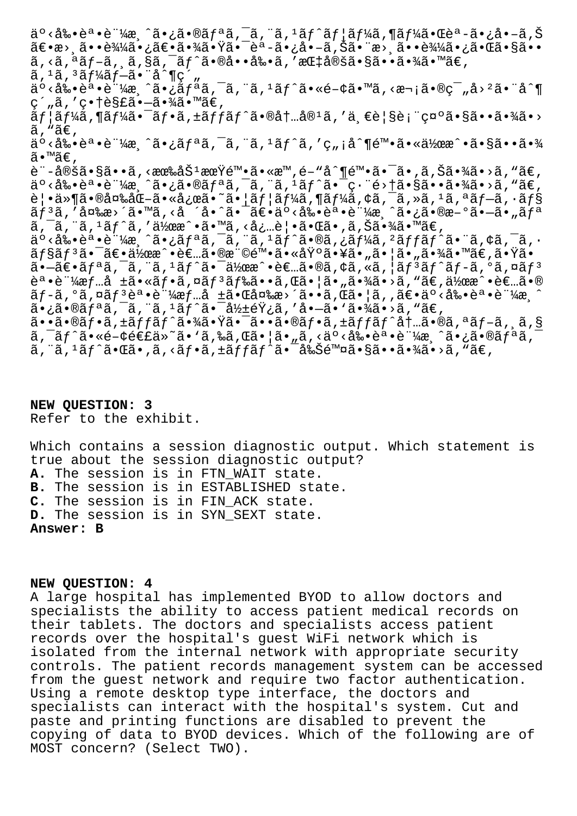ة ∘<剕誕証æ¸^㕿㕮リã,¯ã,¨ã,ªãƒ^ユーã,¶ãƒ¼ã•Œèª-ã•¿å•-ã,Š 〕æ> 㕕込㕿〕㕾㕟㕯èª-ã•¿å•-ã,Šã•¨æ> 㕕込㕿㕌ã•§ã••  $\tilde{a}$ , <ã, ªãƒ–ã, ¸ã,§ã,¯ãƒ^㕮啕剕ã, ′指定㕧㕕㕾ã•™ã€,  $a, 1a, 3a f$ <sup>3</sup> $f$ <sup>2</sup> $f$ <sup>-2</sup> $\cdot$   $a \cdot 1$ <sup>2</sup>, äº<剕誕証æ¸^㕿リã,¯ã,¨ã,ªãƒ^ã•«é-¢ã•™ã,<次㕮範å>ºã•¨å^¶  $c$ ´"ã,′ $c \cdot t$ è§£ã•-㕾ã•™ã€, ãf¦ãf¼ã,¶ãf¼ã•¯ãf•ã,±ãffãf^ã•®åt…å®1ã,′一覧表礰㕧㕕㕾ã•>  $\tilde{a}$ , " $\tilde{a} \in$ , ä°<剕誕証æ ^㕿リã, ¯ã, ¨ã, 1ãƒ^ã, ′ç"¡å^¶é™•㕫作æ^•㕧㕕㕾 ã•™ã€, è¨-定ã•§ã••ã,<有劽期陕ã•«æ™,é-"å^¶é™•㕯ã•,ã,Šã•¾ã•>ã,"ã€,  $a^{\circ}$   $\langle$   $a^{\circ}$   $\cdot$   $b^{\circ}$   $a^{\circ}$   $a^{\circ}$   $a^{\circ}$   $a^{\circ}$   $a^{\circ}$   $a^{\circ}$   $b^{\circ}$   $a^{\circ}$   $a^{\circ}$   $a^{\circ}$   $a^{\circ}$   $a^{\circ}$   $a^{\circ}$   $a^{\circ}$   $a^{\circ}$   $a^{\circ}$   $a^{\circ}$   $a^{\circ}$   $a^{\circ}$   $a^{\circ}$   $a^{\circ}$   $a^{\circ}$   $a^{\circ}$   $a^$ 覕件㕮変化㕫応ã•~㕦ユーã,¶ãƒ¼ã,¢ã,¯ã,»ã,1ã,ªãƒ–ã,∙ョ リã,′変æ>´ã•™ã,<å ´å•^㕯〕äº<剕誕証æ¸^ã•¿ã•®æ-°ã•—ã•"リ  $\tilde{a}$ ,  $\tilde{a}$ ,  $\tilde{a}$ ,  $\tilde{a}$ ,  $\tilde{a}$ ,  $\tilde{a}$ ,  $\tilde{a}$ ) $\tilde{a}$ ,  $\tilde{a}$ ,  $\tilde{a}$ ,  $\tilde{a}$ ,  $\tilde{a}$ ,  $\tilde{a}$ ,  $\tilde{a}$ ,  $\tilde{a}$ ,  $\tilde{a}$ ,  $\tilde{a}$ ,  $\tilde{a}$ ,  $\tilde{a}$ ,  $\tilde{a}$ ,  $\tilde{a}$ ,  $\tilde{a}$ ,  $\$ 事剕誕証済㕿リクエスト㕮ターゲット㕨アクシ ãf§ãfªã•¯ã€•作æ^•者㕮権陕㕫基㕥㕄㕦ã•"㕾ã•™ã€,㕟ã•  $\tilde{a}$ • $\tilde{a}$  $\epsilon$ • $\tilde{a}$  $f$ ª $\tilde{a}$ ,  $\tilde{a}$ ,  $\tilde{a}$ ,  $\tilde{a}$  •  $\tilde{a}$  $\tilde{b}$  •  $\tilde{a}$  $\epsilon$  $\tilde{a}$ ,  $\tilde{a}$ ,  $\tilde{a}$ ,  $\tilde{a}$ ,  $\tilde{a}$ ,  $\tilde{a}$ ,  $\tilde{a}$ ,  $\tilde{a}$ ,  $\tilde{a}$ ,  $\tilde{a}$ ,  $\tilde{a}$ ,  $\tilde{$ 誕証æf…å ±ã•«ãf•ã,¤ãf<sup>3</sup>ãf‰ã••ã,Œã•¦ã•"㕾ã•>ã,"ã€,作æ^•者ã•® ãf-ã,°ã,¤ãfªèª•証æf…å ±ã•Œå¤‰æ>´ã••ã,Œã•¦ã,,〕äº<剕誕証æ.^  $a \cdot \tilde{a} \cdot \tilde{a}$  and  $\tilde{a} \cdot \tilde{a}$ ,  $\tilde{a} \cdot \tilde{a}$ ,  $\tilde{a} \cdot \tilde{a} \cdot \tilde{a}$ ,  $\tilde{a} \cdot \tilde{a} \cdot \tilde{a}$ ,  $\tilde{a} \cdot \tilde{a} \cdot \tilde{a}$ ã..a.@af.a,±affaf^a.¾a.Ÿa.<sup>-</sup>a..a.@af.a,±affaf^at..a.@a,ªaf-a, a,§  $\tilde{a}$ ,  $\tilde{a}$  $\tilde{f}$  $\tilde{a}$ ,  $\tilde{e}$  $\tilde{f}$  $\tilde{f}$  $\tilde{f}$  $\tilde{g}$  $\tilde{g}$   $\tilde{f}$   $\tilde{g}$   $\tilde{g}$   $\tilde{g}$   $\tilde{g}$   $\tilde{g}$   $\tilde{g}$   $\tilde{g}$   $\tilde{g}$   $\tilde{g}$   $\tilde{g}$   $\tilde{g}$   $\tilde{g}$   $\tilde{g}$   $\tilde{g}$   $\tilde{a}$ , " $\tilde{a}$ ,  $\tilde{a}$ ,  $\tilde{a}$ ,  $\tilde{a}$ ,  $\tilde{a}$ ,  $\tilde{a}$ ,  $\tilde{a}$ ,  $\tilde{a}$ ,  $\tilde{a}$ ,  $\tilde{a}$ ,  $\tilde{a}$ ,  $\tilde{a}$ ,  $\tilde{a}$ ,  $\tilde{a}$ ,  $\tilde{a}$ ,  $\tilde{a}$ ,  $\tilde{a}$ ,  $\tilde{a}$ ,  $\tilde{a}$ ,  $\tilde{a}$ ,  $\tilde{a}$ ,

**NEW QUESTION: 3** Refer to the exhibit.

Which contains a session diagnostic output. Which statement is true about the session diagnostic output? **A.** The session is in FTN\_WAIT state. **B.** The session is in ESTABLISHED state. **C.** The session is in FIN\_ACK state. **D.** The session is in SYN\_SEXT state. **Answer: B**

**NEW QUESTION: 4**

A large hospital has implemented BYOD to allow doctors and specialists the ability to access patient medical records on their tablets. The doctors and specialists access patient records over the hospital's guest WiFi network which is isolated from the internal network with appropriate security controls. The patient records management system can be accessed from the guest network and require two factor authentication. Using a remote desktop type interface, the doctors and specialists can interact with the hospital's system. Cut and paste and printing functions are disabled to prevent the copying of data to BYOD devices. Which of the following are of MOST concern? (Select TWO).